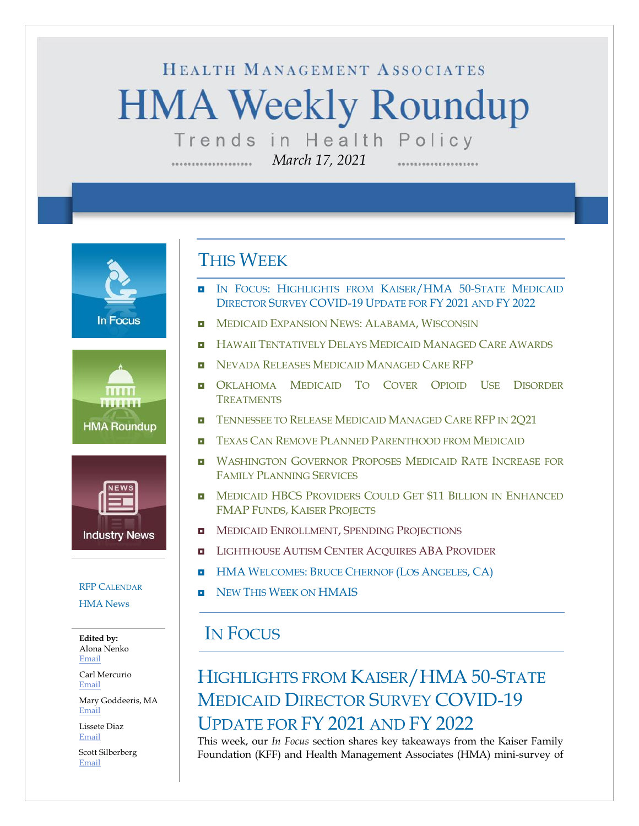# HEALTH MANAGEMENT ASSOCIATES **HMA Weekly Roundup** Trends in Health Policy

*March 17, 2021*

**In Focus** 





#### RFP C[ALENDAR](#page-12-0)

[HMA News](#page-15-0)

**Edited by:** Alona Nenko [Email](mailto:anenko@healthmanagement.com)

Carl Mercurio [Email](mailto:cmercurio@healthmanagement.com)

Mary Goddeeris, MA [Email](mailto:mgoddeeris@healthmanagement.com)

Lissete Diaz [Email](mailto:ldiaz@healthmanagement.com)

Scott Silberberg [Email](mailto:ssilberberg@healthmanagement.com)

### THIS WEEK

IN FOCUS: HIGHLIGHTS FROM KAISER/HMA 50-STATE MEDICAID DIRECTOR SURVEY COVID-19 UPDATE FOR FY 2021 AND FY 2022

................

- **IN MEDICAID E[XPANSION](#page-4-0) NEWS: ALABAMA, WISCONSIN**
- **H** HAWAII T[ENTATIVELY](#page-4-1) DELAYS MEDICAID MANAGED CARE AWARDS
- **NEVADA RELEASES MEDICAID M[ANAGED](#page-5-0) CARE RFP**
- **O[KLAHOMA](#page-6-0) MEDICAID TO COVER OPIOID USE DISORDER T[REATMENTS](#page-6-0)**
- **T[ENNESSEE TO](#page-7-0) RELEASE MEDICAID MANAGED CARE RFP IN 2Q21**
- **TEXAS CAN REMOVE PLANNED P[ARENTHOOD FROM](#page-8-0) MEDICAID**
- **U WASHINGTON GOVERNOR PROPOSES MEDICAID RATE INCREASE FOR** FAMILY P[LANNING](#page-8-1) SERVICES
- **D** MEDICAID HBCS PROVIDERS COULD GET \$11 BILLION IN ENHANCED [FMAP](#page-9-0) FUNDS, KAISER PROJECTS
- **INEDICAID E[NROLLMENT](#page-9-0), SPENDING PROJECTIONS**
- **L[IGHTHOUSE](#page-11-0) AUTISM CENTER ACOUIRES ABA PROVIDER**
- **HMA W[ELCOMES](#page-13-0): BRUCE CHERNOF (LOS ANGELES, CA)**
- **NEW THIS WEEK ON [HMAIS](#page-15-0)**

### IN FOCUS

## HIGHLIGHTS FROM KAISER/HMA 50-STATE MEDICAID DIRECTOR SURVEY COVID-19 UPDATE FOR FY 2021 AND FY 2022

This week, our *In Focus* section shares key takeaways from the Kaiser Family Foundation (KFF) and Health Management Associates (HMA) mini-survey of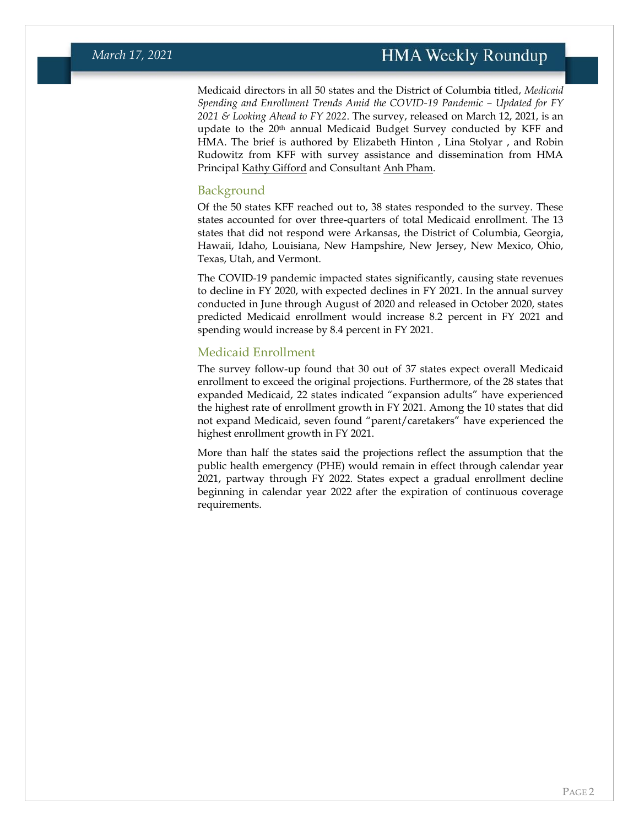Medicaid directors in all 50 states and the District of Columbia titled, *Medicaid Spending and Enrollment Trends Amid the COVID-19 Pandemic – Updated for FY 2021 & Looking Ahead to FY 2022*. The survey, released on March 12, 2021, is an update to the 20<sup>th</sup> annual Medicaid Budget Survey conducted by KFF and HMA. The brief is authored by Elizabeth Hinton , Lina Stolyar , and Robin Rudowitz from KFF with survey assistance and dissemination from HMA Principal [Kathy Gifford](https://www.healthmanagement.com/our-team/staff-directory/name/kathy-gifford/) and Consultant [Anh Pham.](https://www.healthmanagement.com/our-team/staff-directory/name/anh-pham/)

#### Background

Of the 50 states KFF reached out to, 38 states responded to the survey. These states accounted for over three-quarters of total Medicaid enrollment. The 13 states that did not respond were Arkansas, the District of Columbia, Georgia, Hawaii, Idaho, Louisiana, New Hampshire, New Jersey, New Mexico, Ohio, Texas, Utah, and Vermont.

The COVID-19 pandemic impacted states significantly, causing state revenues to decline in FY 2020, with expected declines in FY 2021. In the annual survey conducted in June through August of 2020 and released in October 2020, states predicted Medicaid enrollment would increase 8.2 percent in FY 2021 and spending would increase by 8.4 percent in FY 2021.

#### Medicaid Enrollment

The survey follow-up found that 30 out of 37 states expect overall Medicaid enrollment to exceed the original projections. Furthermore, of the 28 states that expanded Medicaid, 22 states indicated "expansion adults" have experienced the highest rate of enrollment growth in FY 2021. Among the 10 states that did not expand Medicaid, seven found "parent/caretakers" have experienced the highest enrollment growth in FY 2021.

More than half the states said the projections reflect the assumption that the public health emergency (PHE) would remain in effect through calendar year 2021, partway through FY 2022. States expect a gradual enrollment decline beginning in calendar year 2022 after the expiration of continuous coverage requirements.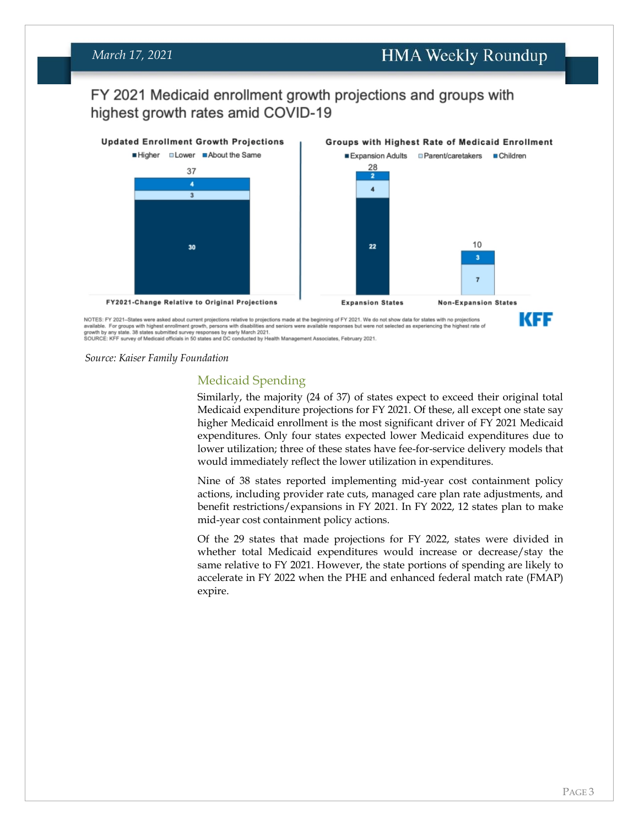#### *March 17, 2021*

#### **HMA Weekly Roundup**

#### FY 2021 Medicaid enrollment growth projections and groups with highest growth rates amid COVID-19



 $\frac{1}{100}$  and the states were assets about current projections relative to projections made at the beginning or FT 2021, we do not show data for states with in projections and and and the states of a states submitted su

*Source: Kaiser Family Foundation*

#### Medicaid Spending

Similarly, the majority (24 of 37) of states expect to exceed their original total Medicaid expenditure projections for FY 2021. Of these, all except one state say higher Medicaid enrollment is the most significant driver of FY 2021 Medicaid expenditures. Only four states expected lower Medicaid expenditures due to lower utilization; three of these states have fee-for-service delivery models that would immediately reflect the lower utilization in expenditures.

Nine of 38 states reported implementing mid-year cost containment policy actions, including provider rate cuts, managed care plan rate adjustments, and benefit restrictions/expansions in FY 2021. In FY 2022, 12 states plan to make mid-year cost containment policy actions.

Of the 29 states that made projections for FY 2022, states were divided in whether total Medicaid expenditures would increase or decrease/stay the same relative to FY 2021. However, the state portions of spending are likely to accelerate in FY 2022 when the PHE and enhanced federal match rate (FMAP) expire.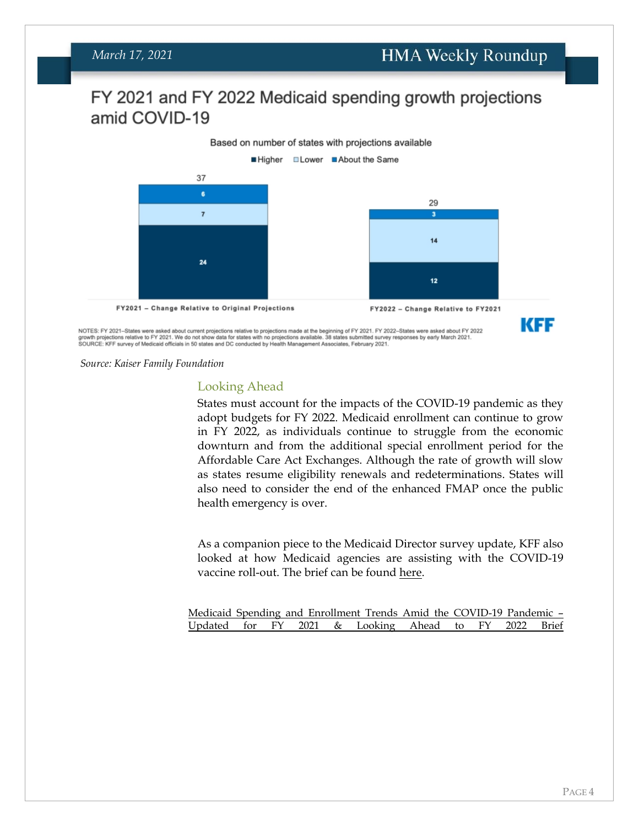### FY 2021 and FY 2022 Medicaid spending growth projections amid COVID-19



NOTES: FY 2021–States were asked about current projections relative to projections made at the beginning of FY 2021. FY 2022–States were asked about FY 2022<br>growth projections relative to FY 2021. We do not show data for s

*Source: Kaiser Family Foundation*

#### Looking Ahead

States must account for the impacts of the COVID-19 pandemic as they adopt budgets for FY 2022. Medicaid enrollment can continue to grow in FY 2022, as individuals continue to struggle from the economic downturn and from the additional special enrollment period for the Affordable Care Act Exchanges. Although the rate of growth will slow as states resume eligibility renewals and redeterminations. States will also need to consider the end of the enhanced FMAP once the public health emergency is over.

As a companion piece to the Medicaid Director survey update, KFF also looked at how Medicaid agencies are assisting with the COVID-19 vaccine roll-out. The brief can be found [here.](https://www.kff.org/coronavirus-covid-19/issue-brief/a-look-at-how-medicaid-agencies-are-assisting-with-the-covid-19-vaccine-roll-out/)

|  |  |  | Medicaid Spending and Enrollment Trends Amid the COVID-19 Pandemic - |  |  |
|--|--|--|----------------------------------------------------------------------|--|--|
|  |  |  | Updated for FY 2021 & Looking Ahead to FY 2022 Brief                 |  |  |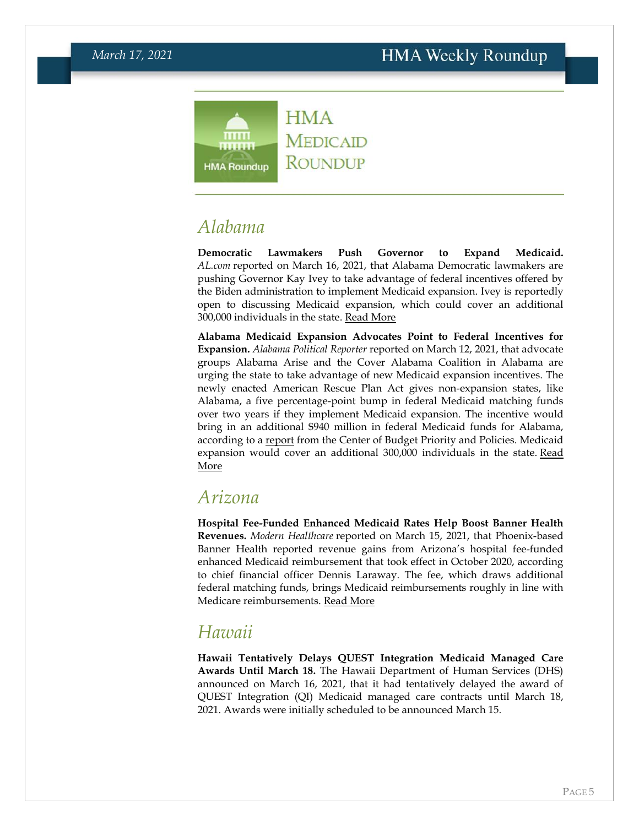

**MEDICAID ROUNDUP** 

## <span id="page-4-0"></span>*Alabama*

**Democratic Lawmakers Push Governor to Expand Medicaid.**  *AL.com* reported on March 16, 2021, that Alabama Democratic lawmakers are pushing Governor Kay Ivey to take advantage of federal incentives offered by the Biden administration to implement Medicaid expansion. Ivey is reportedly open to discussing Medicaid expansion, which could cover an additional 300,000 individuals in the state. [Read More](https://www.al.com/news/2021/03/we-could-call-it-kaycare-alabama-democrats-push-governor-for-medicaid-expansion.html)

**Alabama Medicaid Expansion Advocates Point to Federal Incentives for Expansion.** *Alabama Political Reporter* reported on March 12, 2021, that advocate groups Alabama Arise and the Cover Alabama Coalition in Alabama are urging the state to take advantage of new Medicaid expansion incentives. The newly enacted American Rescue Plan Act gives non-expansion states, like Alabama, a five percentage-point bump in federal Medicaid matching funds over two years if they implement Medicaid expansion. The incentive would bring in an additional \$940 million in federal Medicaid funds for Alabama, according to a [report](https://www.cbpp.org/sites/default/files/2-25-21health.pdf) from the Center of Budget Priority and Policies. Medicaid expansion would cover an additional 300,000 individuals in the state. Read [More](https://www.alreporter.com/2021/03/12/groups-call-on-alabama-to-expand-medicaid-after-covid-aid-brings-back-incentives/)

#### *Arizona*

**Hospital Fee-Funded Enhanced Medicaid Rates Help Boost Banner Health Revenues.** *Modern Healthcare* reported on March 15, 2021, that Phoenix-based Banner Health reported revenue gains from Arizona's hospital fee-funded enhanced Medicaid reimbursement that took effect in October 2020, according to chief financial officer Dennis Laraway. The fee, which draws additional federal matching funds, brings Medicaid reimbursements roughly in line with Medicare reimbursements. [Read More](https://www.modernhealthcare.com/finance/banner-sees-tailwind-arizonas-enhanced-medicaid-match)

### <span id="page-4-1"></span>*Hawaii*

**Hawaii Tentatively Delays QUEST Integration Medicaid Managed Care Awards Until March 18.** The Hawaii Department of Human Services (DHS) announced on March 16, 2021, that it had tentatively delayed the award of QUEST Integration (QI) Medicaid managed care contracts until March 18, 2021. Awards were initially scheduled to be announced March 15.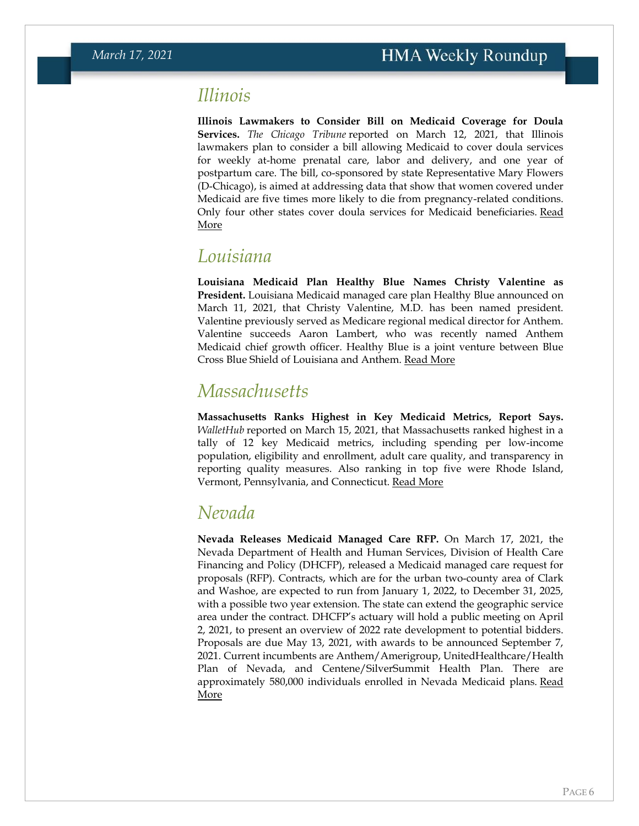### *Illinois*

**Illinois Lawmakers to Consider Bill on Medicaid Coverage for Doula Services.** *The Chicago Tribune* reported on March 12, 2021, that Illinois lawmakers plan to consider a bill allowing Medicaid to cover doula services for weekly at-home prenatal care, labor and delivery, and one year of postpartum care. The bill, co-sponsored by state Representative Mary Flowers (D-Chicago), is aimed at addressing data that show that women covered under Medicaid are five times more likely to die from pregnancy-related conditions. Only four other states cover doula services for Medicaid beneficiaries. Read [More](https://www.chicagotribune.com/lifestyles/ct-life-doula-medicaid-home-visits-tt-20210312-jwg7gnqzpbesbj65vqsy7teizm-story.html)

#### *Louisiana*

**Louisiana Medicaid Plan Healthy Blue Names Christy Valentine as President.** Louisiana Medicaid managed care plan Healthy Blue announced on March 11, 2021, that Christy Valentine, M.D. has been named president. Valentine previously served as Medicare regional medical director for Anthem. Valentine succeeds Aaron Lambert, who was recently named Anthem Medicaid chief growth officer. Healthy Blue is a joint venture between Blue Cross Blue Shield of Louisiana and Anthem. [Read More](https://www.businesswire.com/news/home/20210311005068/en/)

#### *Massachusetts*

**Massachusetts Ranks Highest in Key Medicaid Metrics, Report Says.**  *WalletHub* reported on March 15, 2021, that Massachusetts ranked highest in a tally of 12 key Medicaid metrics, including spending per low-income population, eligibility and enrollment, adult care quality, and transparency in reporting quality measures. Also ranking in top five were Rhode Island, Vermont, Pennsylvania, and Connecticut. [Read More](https://wallethub.com/edu/states-with-the-most-and-least-medicaid-coverage/71573)

### <span id="page-5-0"></span>*Nevada*

**Nevada Releases Medicaid Managed Care RFP.** On March 17, 2021, the Nevada Department of Health and Human Services, Division of Health Care Financing and Policy (DHCFP), released a Medicaid managed care request for proposals (RFP). Contracts, which are for the urban two-county area of Clark and Washoe, are expected to run from January 1, 2022, to December 31, 2025, with a possible two year extension. The state can extend the geographic service area under the contract. DHCFP's actuary will hold a public meeting on April 2, 2021, to present an overview of 2022 rate development to potential bidders. Proposals are due May 13, 2021, with awards to be announced September 7, 2021. Current incumbents are Anthem/Amerigroup, UnitedHealthcare/Health Plan of Nevada, and Centene/SilverSummit Health Plan. There are approximately 580,000 individuals enrolled in Nevada Medicaid plans. [Read](https://nevadaepro.com/bso/external/bidDetail.sdo?bidId=40DHHS-S1457&parentUrl=activeBids)  [More](https://nevadaepro.com/bso/external/bidDetail.sdo?bidId=40DHHS-S1457&parentUrl=activeBids)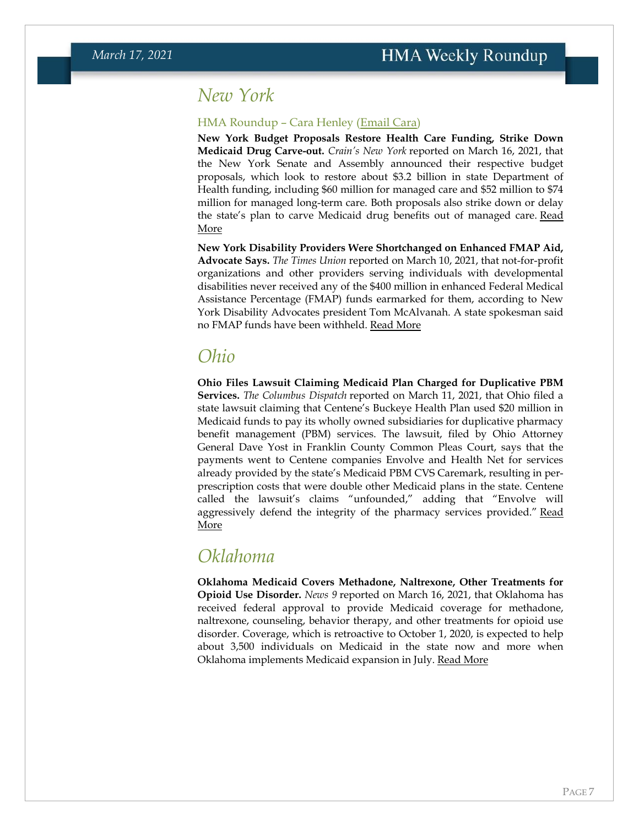#### *New York*

#### HMA Roundup – Cara Henley [\(Email Cara\)](mailto:chenley@healthmanagement.com)

**New York Budget Proposals Restore Health Care Funding, Strike Down Medicaid Drug Carve-out.** *Crain's New York* reported on March 16, 2021, that the New York Senate and Assembly announced their respective budget proposals, which look to restore about \$3.2 billion in state Department of Health funding, including \$60 million for managed care and \$52 million to \$74 million for managed long-term care. Both proposals also strike down or delay the state's plan to carve Medicaid drug benefits out of managed care. Read [More](https://www.crainsnewyork.com/health-pulse/340b-pharmacy-benefit-carve-out-dealt-blow-budget)

**New York Disability Providers Were Shortchanged on Enhanced FMAP Aid, Advocate Says.** *The Times Union* reported on March 10, 2021, that not-for-profit organizations and other providers serving individuals with developmental disabilities never received any of the \$400 million in enhanced Federal Medical Assistance Percentage (FMAP) funds earmarked for them, according to New York Disability Advocates president Tom McAlvanah. A state spokesman said no FMAP funds have been withheld. [Read More](https://www.timesunion.com/news/article/Service-providers-say-New-York-pocketed-400M-in-16015630.php)

#### *Ohio*

**Ohio Files Lawsuit Claiming Medicaid Plan Charged for Duplicative PBM Services.** *The Columbus Dispatch* reported on March 11, 2021, that Ohio filed a state lawsuit claiming that Centene's Buckeye Health Plan used \$20 million in Medicaid funds to pay its wholly owned subsidiaries for duplicative pharmacy benefit management (PBM) services. The lawsuit, filed by Ohio Attorney General Dave Yost in Franklin County Common Pleas Court, says that the payments went to Centene companies Envolve and Health Net for services already provided by the state's Medicaid PBM CVS Caremark, resulting in perprescription costs that were double other Medicaid plans in the state. Centene called the lawsuit's claims "unfounded," adding that "Envolve will aggressively defend the integrity of the pharmacy services provided." Read [More](https://www.dispatch.com/story/news/2021/03/11/ohio-medicaid-millions-wasted-duplicate-pbm-drug-manager-payments-attorney-general-dave-yost-suit/4647182001/)

#### <span id="page-6-0"></span>*Oklahoma*

**Oklahoma Medicaid Covers Methadone, Naltrexone, Other Treatments for Opioid Use Disorder.** *News 9* reported on March 16, 2021, that Oklahoma has received federal approval to provide Medicaid coverage for methadone, naltrexone, counseling, behavior therapy, and other treatments for opioid use disorder. Coverage, which is retroactive to October 1, 2020, is expected to help about 3,500 individuals on Medicaid in the state now and more when Oklahoma implements Medicaid expansion in July. [Read More](https://www.news9.com/story/60512f0af707160bbbe651c9/oklahoma-becomes-1st-state-to-expand-medicaid-coverage-to-include-opioid-treatment)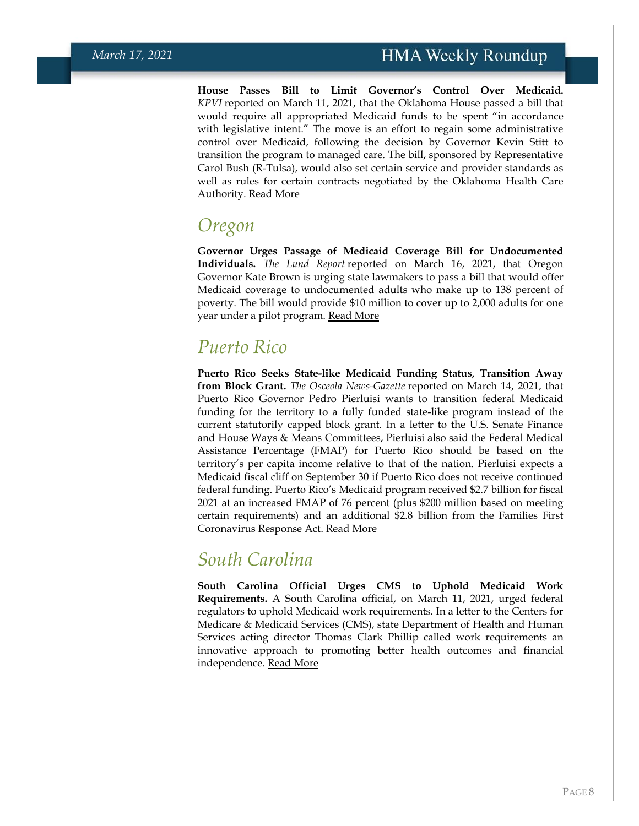**House Passes Bill to Limit Governor's Control Over Medicaid.**  *KPVI* reported on March 11, 2021, that the Oklahoma House passed a bill that would require all appropriated Medicaid funds to be spent "in accordance with legislative intent." The move is an effort to regain some administrative control over Medicaid, following the decision by Governor Kevin Stitt to transition the program to managed care. The bill, sponsored by Representative Carol Bush (R-Tulsa), would also set certain service and provider standards as well as rules for certain contracts negotiated by the Oklahoma Health Care Authority. [Read More](https://www.kpvi.com/news/national_news/medicaid-regulations-advance-through-oklahoma-house/article_0b3af4b7-5f81-5fe4-8b72-1d09e8def80e.html)

### *Oregon*

**Governor Urges Passage of Medicaid Coverage Bill for Undocumented Individuals.** *The Lund Report* reported on March 16, 2021, that Oregon Governor Kate Brown is urging state lawmakers to pass a bill that would offer Medicaid coverage to undocumented adults who make up to 138 percent of poverty. The bill would provide \$10 million to cover up to 2,000 adults for one year under a pilot program. [Read More](https://www.thelundreport.org/content/oregon-bill-would-expand-medicaid-coverage-undocumented-adults)

## *Puerto Rico*

**Puerto Rico Seeks State-like Medicaid Funding Status, Transition Away from Block Grant.** *The Osceola News-Gazette* reported on March 14, 2021, that Puerto Rico Governor Pedro Pierluisi wants to transition federal Medicaid funding for the territory to a fully funded state-like program instead of the current statutorily capped block grant. In a letter to the U.S. Senate Finance and House Ways & Means Committees, Pierluisi also said the Federal Medical Assistance Percentage (FMAP) for Puerto Rico should be based on the territory's per capita income relative to that of the nation. Pierluisi expects a Medicaid fiscal cliff on September 30 if Puerto Rico does not receive continued federal funding. Puerto Rico's Medicaid program received \$2.7 billion for fiscal 2021 at an increased FMAP of 76 percent (plus \$200 million based on meeting certain requirements) and an additional \$2.8 billion from the Families First Coronavirus Response Act. [Read More](https://www.aroundosceola.com/news/puerto-rico-governor-pierluisi-urges-us-give-commonwealth-state-treatment-medicaid-program)

### *South Carolina*

<span id="page-7-0"></span>**South Carolina Official Urges CMS to Uphold Medicaid Work Requirements.** A South Carolina official, on March 11, 2021, urged federal regulators to uphold Medicaid work requirements. In a letter to the Centers for Medicare & Medicaid Services (CMS), state Department of Health and Human Services acting director Thomas Clark Phillip called work requirements an innovative approach to promoting better health outcomes and financial independence. [Read More](https://content.govdelivery.com/attachments/SCDHHS/2021/03/11/file_attachments/1720403/%282021-3-11%29%20CMS%20Community%20Engagement%20Letter%20Press%20Release.pdf)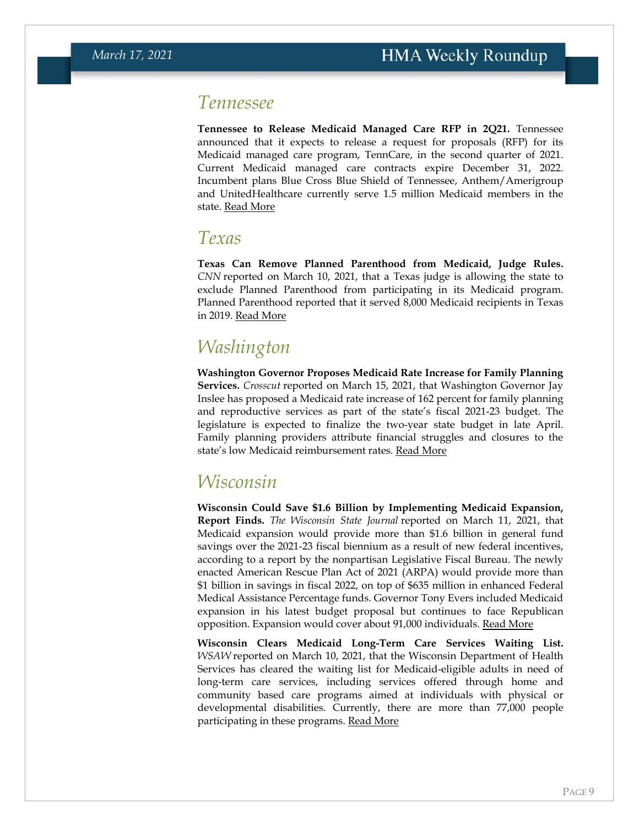#### *Tennessee*

**Tennessee to Release Medicaid Managed Care RFP in 2Q21.** Tennessee announced that it expects to release a request for proposals (RFP) for its Medicaid managed care program, TennCare, in the second quarter of 2021. Current Medicaid managed care contracts expire December 31, 2022. Incumbent plans Blue Cross Blue Shield of Tennessee, Anthem/Amerigroup and UnitedHealthcare currently serve 1.5 million Medicaid members in the state. [Read More](https://www.tn.gov/tenncare/information-statistics/upcoming-procurements.html)

#### <span id="page-8-0"></span>*Texas*

**Texas Can Remove Planned Parenthood from Medicaid, Judge Rules.**  *CNN* reported on March 10, 2021, that a Texas judge is allowing the state to exclude Planned Parenthood from participating in its Medicaid program. Planned Parenthood reported that it served 8,000 Medicaid recipients in Texas in 2019. [Read More](https://www.cnn.com/2021/03/10/politics/judge-planned-parenthood-texas-medicaid/index.html)

## <span id="page-8-1"></span>*Washington*

**Washington Governor Proposes Medicaid Rate Increase for Family Planning Services.** *Crosscut* reported on March 15, 2021, that Washington Governor Jay Inslee has proposed a Medicaid rate increase of 162 percent for family planning and reproductive services as part of the state's fiscal 2021-23 budget. The legislature is expected to finalize the two-year state budget in late April. Family planning providers attribute financial struggles and closures to the state's low Medicaid reimbursement rates. [Read More](https://crosscut.com/politics/2021/03/planned-parenthood-closes-3-clinics-wa-citing-low-medicaid-rates)

## *Wisconsin*

**Wisconsin Could Save \$1.6 Billion by Implementing Medicaid Expansion, Report Finds.** *The Wisconsin State Journal* reported on March 11, 2021, that Medicaid expansion would provide more than \$1.6 billion in general fund savings over the 2021-23 fiscal biennium as a result of new federal incentives, according to a report by the nonpartisan Legislative Fiscal Bureau. The newly enacted American Rescue Plan Act of 2021 (ARPA) would provide more than \$1 billion in savings in fiscal 2022, on top of \$635 million in enhanced Federal Medical Assistance Percentage funds. Governor Tony Evers included Medicaid expansion in his latest budget proposal but continues to face Republican opposition. Expansion would cover about 91,000 individuals. [Read More](https://madison.com/wsj/news/local/govt-and-politics/report-medicaid-expansion-could-mean-1-6-billion-more-for-state-over-next-2-years/article_b25df5a7-c177-5e74-9769-b69a5ae94ae8.html)

**Wisconsin Clears Medicaid Long-Term Care Services Waiting List.**  *WSAW* reported on March 10, 2021, that the Wisconsin Department of Health Services has cleared the waiting list for Medicaid-eligible adults in need of long-term care services, including services offered through home and community based care programs aimed at individuals with physical or developmental disabilities. Currently, there are more than 77,000 people participating in these programs. [Read More](https://www.wsaw.com/2021/03/11/wis-long-term-care-services-waitlist-cleared-for-medicaid-eligible-adults/)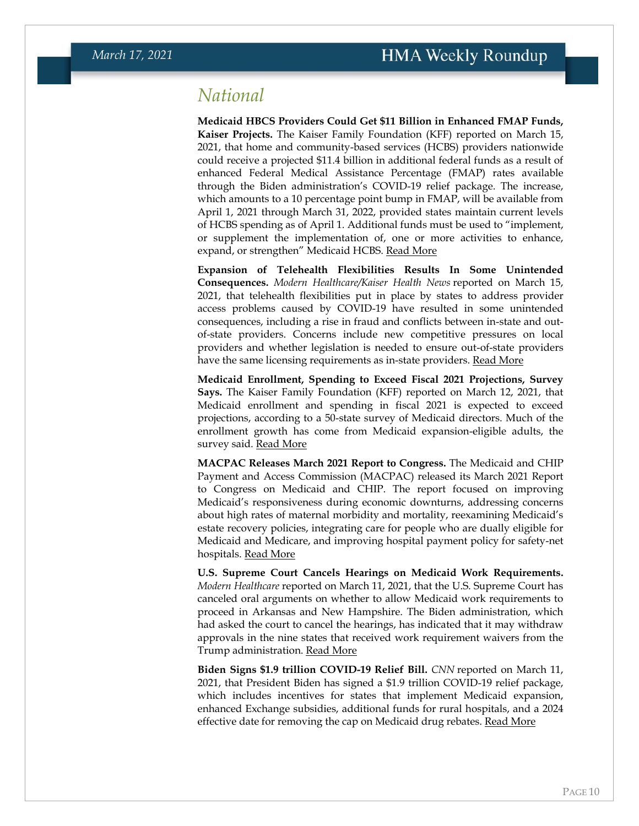### <span id="page-9-0"></span>*National*

**Medicaid HBCS Providers Could Get \$11 Billion in Enhanced FMAP Funds, Kaiser Projects.** The Kaiser Family Foundation (KFF) reported on March 15, 2021, that home and community-based services (HCBS) providers nationwide could receive a projected \$11.4 billion in additional federal funds as a result of enhanced Federal Medical Assistance Percentage (FMAP) rates available through the Biden administration's COVID-19 relief package. The increase, which amounts to a 10 percentage point bump in FMAP, will be available from April 1, 2021 through March 31, 2022, provided states maintain current levels of HCBS spending as of April 1. Additional funds must be used to "implement, or supplement the implementation of, one or more activities to enhance, expand, or strengthen" Medicaid HCBS. [Read More](https://www.kff.org/medicaid/issue-brief/potential-impact-of-additional-federal-funds-for-medicaid-hcbs-for-seniors-and-people-with-disabilities/)

**Expansion of Telehealth Flexibilities Results In Some Unintended Consequences.** *Modern Healthcare/Kaiser Health News* reported on March 15, 2021, that telehealth flexibilities put in place by states to address provider access problems caused by COVID-19 have resulted in some unintended consequences, including a rise in fraud and conflicts between in-state and outof-state providers. Concerns include new competitive pressures on local providers and whether legislation is needed to ensure out-of-state providers have the same licensing requirements as in-state providers. [Read More](https://www.modernhealthcare.com/technology/boom-out-state-telehealth-threatens-state-providers)

**Medicaid Enrollment, Spending to Exceed Fiscal 2021 Projections, Survey Says.** The Kaiser Family Foundation (KFF) reported on March 12, 2021, that Medicaid enrollment and spending in fiscal 2021 is expected to exceed projections, according to a 50-state survey of Medicaid directors. Much of the enrollment growth has come from Medicaid expansion-eligible adults, the survey said. [Read More](https://www.kff.org/coronavirus-covid-19/issue-brief/medicaid-spending-and-enrollment-trends-amid-the-covid-19-pandemic-updated-for-fy-2021-looking-ahead-to-fy-2022/)

**MACPAC Releases March 2021 Report to Congress.** The Medicaid and CHIP Payment and Access Commission (MACPAC) released its March 2021 Report to Congress on Medicaid and CHIP. The report focused on improving Medicaid's responsiveness during economic downturns, addressing concerns about high rates of maternal morbidity and mortality, reexamining Medicaid's estate recovery policies, integrating care for people who are dually eligible for Medicaid and Medicare, and improving hospital payment policy for safety-net hospitals. [Read More](https://www.macpac.gov/publication/march-2021-report-to-congress-on-medicaid-and-chip/)

**U.S. Supreme Court Cancels Hearings on Medicaid Work Requirements.**  *Modern Healthcare* reported on March 11, 2021, that the U.S. Supreme Court has canceled oral arguments on whether to allow Medicaid work requirements to proceed in Arkansas and New Hampshire. The Biden administration, which had asked the court to cancel the hearings, has indicated that it may withdraw approvals in the nine states that received work requirement waivers from the Trump administration. [Read More](https://www.modernhealthcare.com/medicaid/supreme-court-cancels-arguments-medicaid-work-requirements-case)

**Biden Signs \$1.9 trillion COVID-19 Relief Bill.** *CNN* reported on March 11, 2021, that President Biden has signed a \$1.9 trillion COVID-19 relief package, which includes incentives for states that implement Medicaid expansion, enhanced Exchange subsidies, additional funds for rural hospitals, and a 2024 effective date for removing the cap on Medicaid drug rebates. [Read More](https://www.cnn.com/2021/03/11/politics/biden-sign-covid-bill/index.html)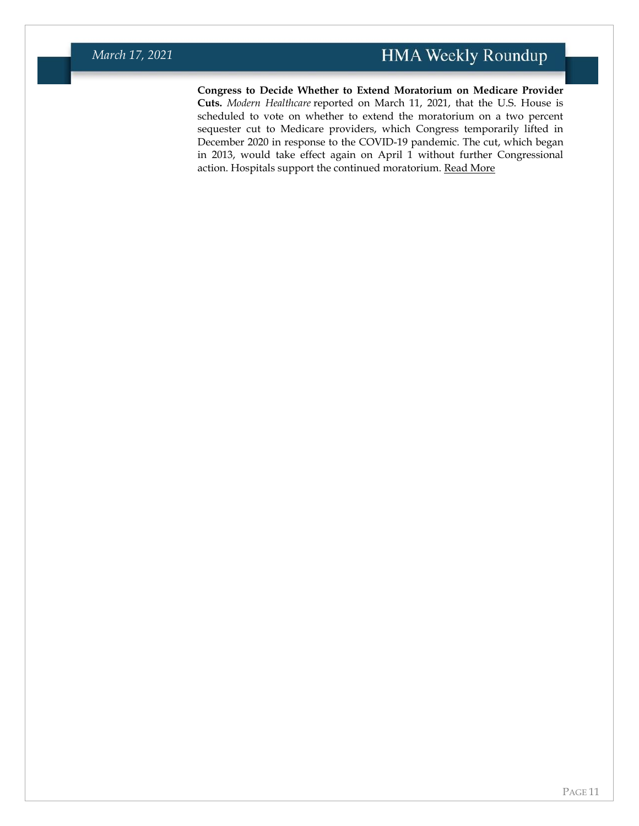**Congress to Decide Whether to Extend Moratorium on Medicare Provider Cuts.** *Modern Healthcare* reported on March 11, 2021, that the U.S. House is scheduled to vote on whether to extend the moratorium on a two percent sequester cut to Medicare providers, which Congress temporarily lifted in December 2020 in response to the COVID-19 pandemic. The cut, which began in 2013, would take effect again on April 1 without further Congressional action. Hospitals support the continued moratorium. [Read More](https://www.modernhealthcare.com/medicare/house-vote-pause-medicare-sequester-cuts)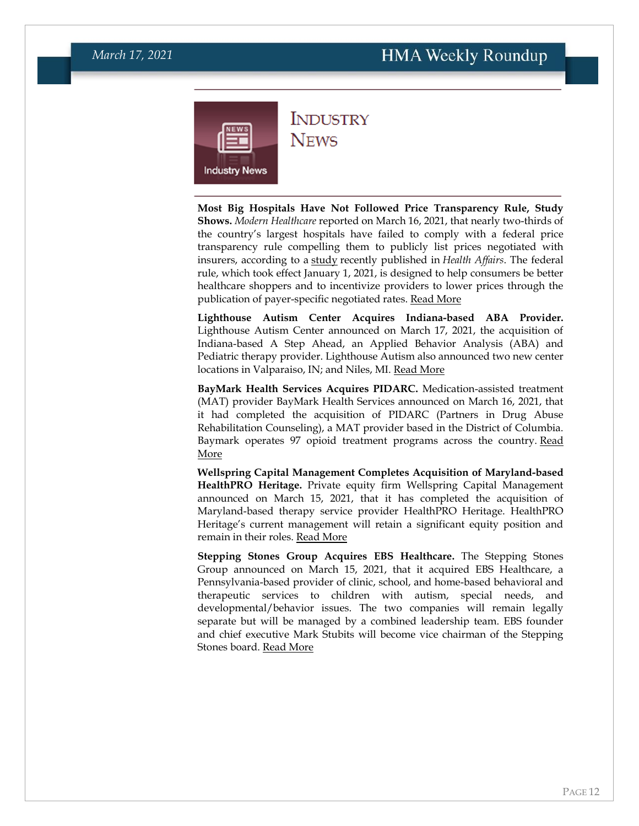<span id="page-11-0"></span>

### **INDUSTRY NEWS**

**Most Big Hospitals Have Not Followed Price Transparency Rule, Study Shows.** *Modern Healthcare* reported on March 16, 2021, that nearly two-thirds of the country's largest hospitals have failed to comply with a federal price transparency rule compelling them to publicly list prices negotiated with insurers, according to a [study](https://www.healthaffairs.org/do/10.1377/hblog20210311.899634/full/) recently published in *Health Affairs*. The federal rule, which took effect January 1, 2021, is designed to help consumers be better healthcare shoppers and to incentivize providers to lower prices through the publication of payer-specific negotiated rates. [Read More](https://www.modernhealthcare.com/operations/two-thirds-largest-hospitals-arent-complying-price-transparency-rule)

**Lighthouse Autism Center Acquires Indiana-based ABA Provider.**  Lighthouse Autism Center announced on March 17, 2021, the acquisition of Indiana-based A Step Ahead, an Applied Behavior Analysis (ABA) and Pediatric therapy provider. Lighthouse Autism also announced two new center locations in Valparaiso, IN; and Niles, MI. [Read More](https://www.prweb.com/releases/lighthouse_autism_center_announces_new_center_locations_including_strategic_acquisition_of_a_step_ahead/prweb17794685.htm)

**BayMark Health Services Acquires PIDARC.** Medication-assisted treatment (MAT) provider BayMark Health Services announced on March 16, 2021, that it had completed the acquisition of PIDARC (Partners in Drug Abuse Rehabilitation Counseling), a MAT provider based in the District of Columbia. Baymark operates 97 opioid treatment programs across the country. Read [More](https://www.prweb.com/releases/baymark_announces_acquisition_of_opioid_treatment_program_in_washington_d_c/prweb17799017.htm)

**Wellspring Capital Management Completes Acquisition of Maryland-based HealthPRO Heritage.** Private equity firm Wellspring Capital Management announced on March 15, 2021, that it has completed the acquisition of Maryland-based therapy service provider HealthPRO Heritage. HealthPRO Heritage's current management will retain a significant equity position and remain in their roles. [Read More](https://www.prnewswire.com/news-releases/wellspring-capital-management-recapitalizes-healthpro-heritage-301247522.html)

**Stepping Stones Group Acquires EBS Healthcare.** The Stepping Stones Group announced on March 15, 2021, that it acquired EBS Healthcare, a Pennsylvania-based provider of clinic, school, and home-based behavioral and therapeutic services to children with autism, special needs, and developmental/behavior issues. The two companies will remain legally separate but will be managed by a combined leadership team. EBS founder and chief executive Mark Stubits will become vice chairman of the Stepping Stones board. [Read More](https://www.prnewswire.com/news-releases/the-stepping-stones-group-acquires-ebs-healthcare-301247301.html)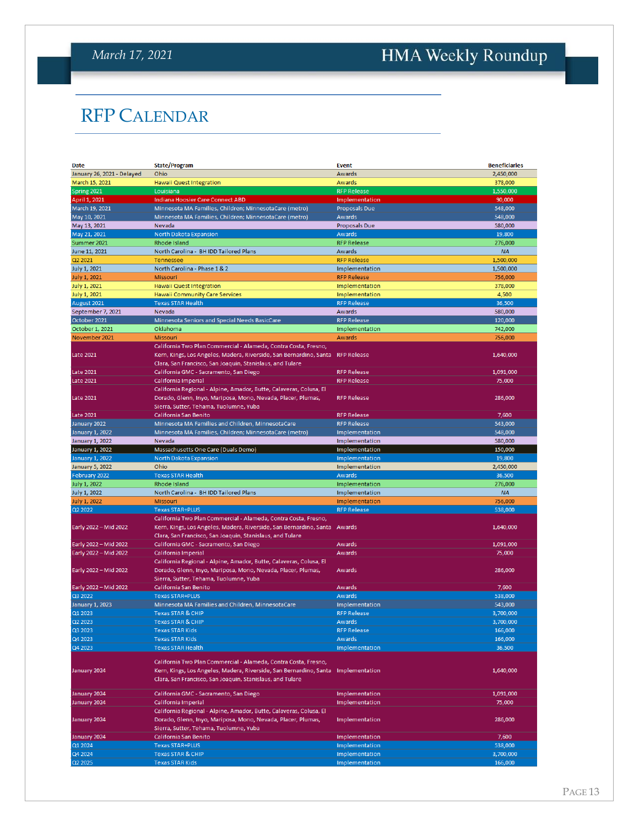## <span id="page-12-0"></span>HMA Weekly Roundup

## RFP CALENDAR

| Date                       | <b>State/Program</b>                                                              | <b>Event</b>         | <b>Beneficiaries</b> |
|----------------------------|-----------------------------------------------------------------------------------|----------------------|----------------------|
| January 26, 2021 - Delayed | Ohio                                                                              | Awards               | 2,450,000            |
| March 15, 2021             | Hawaii Quest Integration                                                          | Awards               | 378,000              |
| Spring 2021                | Louisiana                                                                         | <b>RFP Release</b>   | 1,550,000            |
| April 1, 2021              | <b>Indiana Hoosier Care Connect ABD</b>                                           | Implementation       | 90,000               |
| March 19, 2021             | Minnesota MA Families, Children; MinnesotaCare (metro)                            | Proposals Due        | 548,000              |
| May 10, 2021               | Minnesota MA Families, Children; MinnesotaCare (metro)                            | <b>Awards</b>        | 548,000              |
| May 13, 2021               | Nevada                                                                            | <b>Proposals Due</b> | 580,000              |
| May 21, 2021               | North Dakota Expansion                                                            | <b>Awards</b>        | 19,800               |
|                            |                                                                                   | <b>RFP Release</b>   | 276,000              |
| Summer 2021                | Rhode Island                                                                      |                      |                      |
| June 11, 2021              | North Carolina - BH IDD Tailored Plans                                            | Awards               | <b>NA</b>            |
| Q2 2021                    | Tennessee                                                                         | <b>RFP Release</b>   | 1,500,000            |
| July 1, 2021               | North Carolina - Phase 1 & 2                                                      | Implementation       | 1,500,000            |
| <b>July 1, 2021</b>        | Missouri                                                                          | <b>RFP Release</b>   | 756,000              |
| <b>July 1, 2021</b>        | <b>Hawaii Quest Integration</b>                                                   | Implementation       | 378,000              |
| July 1, 2021               | <b>Hawaii Community Care Services</b>                                             | Implementation       | 4,500                |
| August 2021                | <b>Texas STAR Health</b>                                                          | <b>RFP Release</b>   | 36,500               |
| September 7, 2021          | Nevada                                                                            | Awards               | 580,000              |
| October 2021               | Minnesota Seniors and Special Needs BasicCare                                     | <b>RFP Release</b>   | 120,000              |
| October 1, 2021            | Oklahoma                                                                          | Implementation       | 742,000              |
| November 2021              | Missouri                                                                          | Awards               | 756,000              |
|                            | California Two Plan Commercial - Alameda, Contra Costa, Fresno,                   |                      |                      |
| <b>Late 2021</b>           | Kern, Kings, Los Angeles, Madera, Riverside, San Bernardino, Santa                | <b>RFP Release</b>   | 1,640,000            |
|                            | Clara, San Francisco, San Joaquin, Stanislaus, and Tulare                         |                      |                      |
| <b>Late 2021</b>           | California GMC - Sacramento, San Diego                                            | <b>RFP Release</b>   | 1,091,000            |
| Late 2021                  | California Imperial                                                               | <b>RFP Release</b>   | 75,000               |
|                            | California Regional - Alpine, Amador, Butte, Calaveras, Colusa, El                |                      |                      |
| <b>Late 2021</b>           | Dorado, Glenn, Inyo, Mariposa, Mono, Nevada, Placer, Plumas,                      | <b>RFP Release</b>   | 286,000              |
|                            | Sierra, Sutter, Tehama, Tuolumne, Yuba                                            |                      |                      |
|                            |                                                                                   |                      |                      |
| <b>Late 2021</b>           | California San Benito                                                             | <b>RFP Release</b>   | 7,600                |
| January 2022               | Minnesota MA Families and Children, MinnesotaCare                                 | <b>RFP Release</b>   | 543.000              |
| January 1, 2022            | Minnesota MA Families, Children; MinnesotaCare (metro)                            | Implementation       | 548,000              |
| January 1, 2022            | Nevada                                                                            | Implementation       | 580,000              |
| January 1, 2022            | Massachusetts One Care (Duals Demo)                                               | Implementation       | 150,000              |
| January 1, 2022            | North Dakota Expansion                                                            | Implementation       | 19,800               |
| January 5, 2022            | Ohio                                                                              | Implementation       | 2,450,000            |
| February 2022              | <b>Texas STAR Health</b>                                                          | Awards               | 36,500               |
| July 1, 2022               | Rhode Island                                                                      | Implementation       | 276,000              |
| <b>July 1, 2022</b>        | North Carolina - BH IDD Tailored Plans                                            | Implementation       | <b>NA</b>            |
| <b>July 1, 2022</b>        | Missouri                                                                          | Implementation       | 756,000              |
| Q2 2022                    | <b>Texas STAR+PLUS</b>                                                            | <b>RFP Release</b>   | 538,000              |
|                            | California Two Plan Commercial - Alameda, Contra Costa, Fresno,                   |                      |                      |
| Early 2022 - Mid 2022      | Kern, Kings, Los Angeles, Madera, Riverside, San Bernardino, Santa                | Awards               | 1,640,000            |
|                            | Clara, San Francisco, San Joaquin, Stanislaus, and Tulare                         |                      |                      |
| Early 2022 - Mid 2022      | California GMC - Sacramento, San Diego                                            | Awards               | 1,091,000            |
| Early 2022 - Mid 2022      | California Imperial                                                               | Awards               | 75,000               |
|                            |                                                                                   |                      |                      |
|                            | California Regional - Alpine, Amador, Butte, Calaveras, Colusa, El                |                      |                      |
| Early 2022 - Mid 2022      | Dorado, Glenn, Inyo, Mariposa, Mono, Nevada, Placer, Plumas,                      | Awards               | 286,000              |
|                            | Sierra, Sutter, Tehama, Tuolumne, Yuba                                            |                      |                      |
| Early 2022 - Mid 2022      | California San Benito                                                             | Awards               | 7,600                |
| Q3 2022                    | <b>Texas STAR+PLUS</b>                                                            | Awards               | 538,000              |
| January 1, 2023            | Minnesota MA Families and Children, MinnesotaCare                                 | Implementation       | 543,000              |
| Q1 2023                    | <b>Texas STAR &amp; CHIP</b>                                                      | <b>RFP Release</b>   | 3,700,000            |
| Q2 2023                    | <b>Texas STAR &amp; CHIP</b>                                                      | <b>Awards</b>        | 3,700,000            |
| Q3 2023                    | <b>Texas STAR Kids</b>                                                            | <b>RFP Release</b>   | <b>TOP</b> , 000     |
| Q4 2023                    | <b>Texas STAR Kids</b>                                                            | Awards               | 166,000              |
| Q4 2023                    | <b>Texas STAR Health</b>                                                          | Implementation       | 36,500               |
|                            |                                                                                   |                      |                      |
|                            | California Two Plan Commercial - Alameda, Contra Costa, Fresno,                   |                      |                      |
| January 2024               | Kern, Kings, Los Angeles, Madera, Riverside, San Bernardino, Santa Implementation |                      | 1,640,000            |
|                            | Clara, San Francisco, San Joaquin, Stanislaus, and Tulare                         |                      |                      |
|                            |                                                                                   |                      |                      |
| January 2024               | California GMC - Sacramento, San Diego                                            | Implementation       | 1,091,000            |
| January 2024               | California Imperial                                                               | Implementation       | 75,000               |
|                            | California Regional - Alpine, Amador, Butte, Calaveras, Colusa, El                |                      |                      |
| January 2024               | Dorado, Glenn, Inyo, Mariposa, Mono, Nevada, Placer, Plumas,                      | Implementation       | 286,000              |
|                            | Sierra, Sutter, Tehama, Tuolumne, Yuba                                            |                      |                      |
| January 2024               | California San Benito                                                             | Implementation       | 7,600                |
| Q1 2024                    | <b>Texas STAR+PLUS</b>                                                            | Implementation       | 538,000              |
| Q4 2024                    | <b>Texas STAR &amp; CHIP</b>                                                      | Implementation       | 3,700,000            |
| Q2 2025                    | <b>Texas STAR Kids</b>                                                            | Implementation       | 166,000              |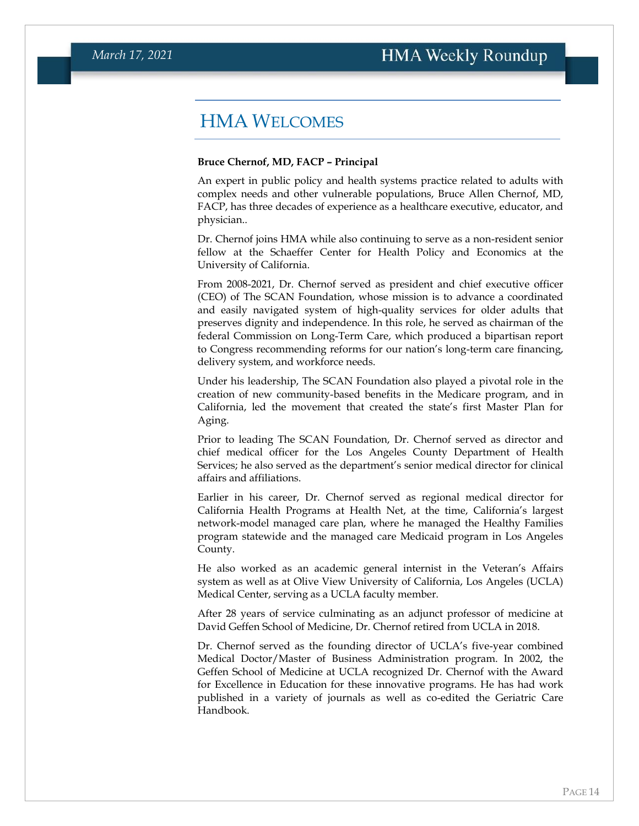### HMA WELCOMES

#### <span id="page-13-0"></span>**Bruce Chernof, MD, FACP – Principal**

An expert in public policy and health systems practice related to adults with complex needs and other vulnerable populations, Bruce Allen Chernof, MD, FACP, has three decades of experience as a healthcare executive, educator, and physician..

Dr. Chernof joins HMA while also continuing to serve as a non-resident senior fellow at the Schaeffer Center for Health Policy and Economics at the University of California.

From 2008-2021, Dr. Chernof served as president and chief executive officer (CEO) of The SCAN Foundation, whose mission is to advance a coordinated and easily navigated system of high-quality services for older adults that preserves dignity and independence. In this role, he served as chairman of the federal Commission on Long-Term Care, which produced a bipartisan report to Congress recommending reforms for our nation's long-term care financing, delivery system, and workforce needs.

Under his leadership, The SCAN Foundation also played a pivotal role in the creation of new community-based benefits in the Medicare program, and in California, led the movement that created the state's first Master Plan for Aging.

Prior to leading The SCAN Foundation, Dr. Chernof served as director and chief medical officer for the Los Angeles County Department of Health Services; he also served as the department's senior medical director for clinical affairs and affiliations.

Earlier in his career, Dr. Chernof served as regional medical director for California Health Programs at Health Net, at the time, California's largest network-model managed care plan, where he managed the Healthy Families program statewide and the managed care Medicaid program in Los Angeles County.

He also worked as an academic general internist in the Veteran's Affairs system as well as at Olive View University of California, Los Angeles (UCLA) Medical Center, serving as a UCLA faculty member.

After 28 years of service culminating as an adjunct professor of medicine at David Geffen School of Medicine, Dr. Chernof retired from UCLA in 2018.

Dr. Chernof served as the founding director of UCLA's five-year combined Medical Doctor/Master of Business Administration program. In 2002, the Geffen School of Medicine at UCLA recognized Dr. Chernof with the Award for Excellence in Education for these innovative programs. He has had work published in a variety of journals as well as co-edited the Geriatric Care Handbook.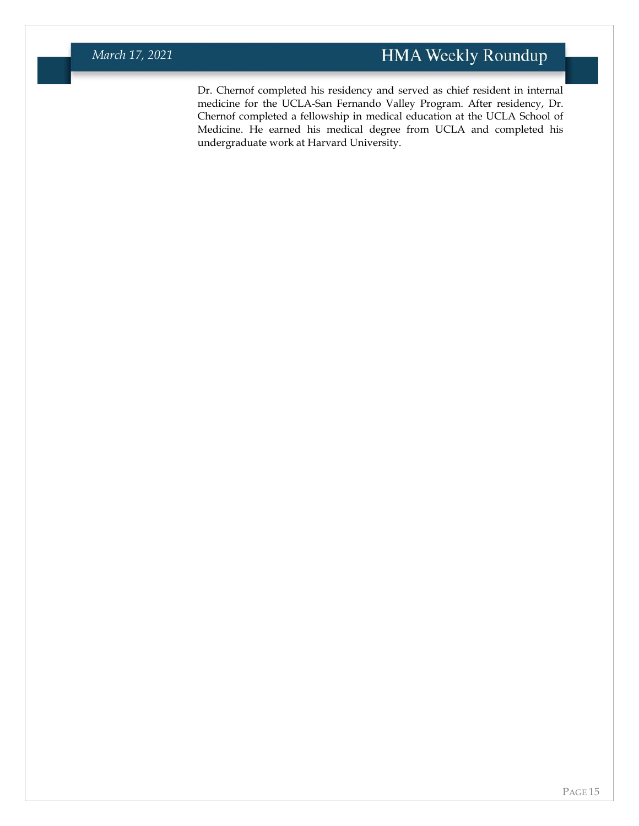Dr. Chernof completed his residency and served as chief resident in internal medicine for the UCLA-San Fernando Valley Program. After residency, Dr. Chernof completed a fellowship in medical education at the UCLA School of Medicine. He earned his medical degree from UCLA and completed his undergraduate work at Harvard University.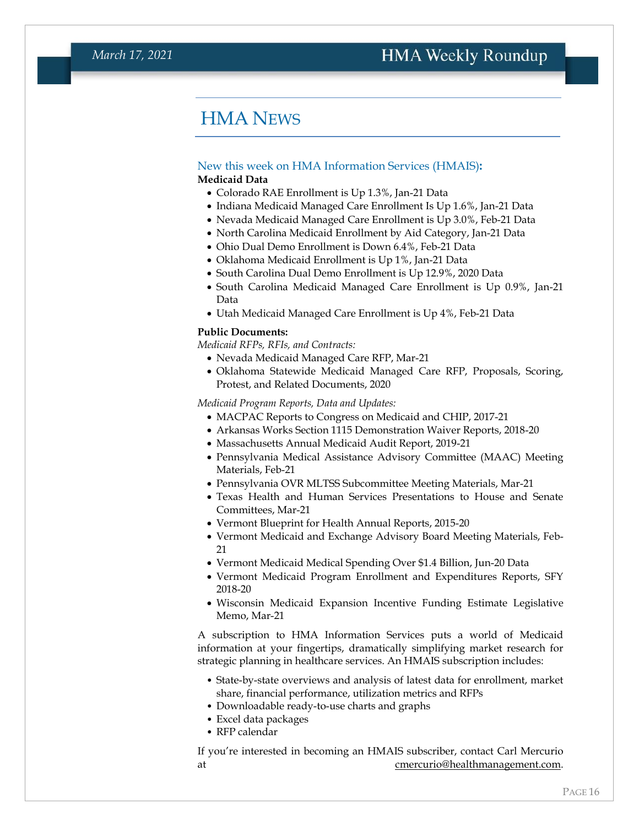### HMA NEWS

#### <span id="page-15-0"></span>New this week on HMA Information Services (HMAIS)**:**

#### **Medicaid Data**

- Colorado RAE Enrollment is Up 1.3%, Jan-21 Data
- Indiana Medicaid Managed Care Enrollment Is Up 1.6%, Jan-21 Data
- Nevada Medicaid Managed Care Enrollment is Up 3.0%, Feb-21 Data
- North Carolina Medicaid Enrollment by Aid Category, Jan-21 Data
- Ohio Dual Demo Enrollment is Down 6.4%, Feb-21 Data
- Oklahoma Medicaid Enrollment is Up 1%, Jan-21 Data
- South Carolina Dual Demo Enrollment is Up 12.9%, 2020 Data
- South Carolina Medicaid Managed Care Enrollment is Up 0.9%, Jan-21 Data
- Utah Medicaid Managed Care Enrollment is Up 4%, Feb-21 Data

#### **Public Documents:**

*Medicaid RFPs, RFIs, and Contracts:*

- Nevada Medicaid Managed Care RFP, Mar-21
- Oklahoma Statewide Medicaid Managed Care RFP, Proposals, Scoring, Protest, and Related Documents, 2020

*Medicaid Program Reports, Data and Updates:*

- MACPAC Reports to Congress on Medicaid and CHIP, 2017-21
- Arkansas Works Section 1115 Demonstration Waiver Reports, 2018-20
- Massachusetts Annual Medicaid Audit Report, 2019-21
- Pennsylvania Medical Assistance Advisory Committee (MAAC) Meeting Materials, Feb-21
- Pennsylvania OVR MLTSS Subcommittee Meeting Materials, Mar-21
- Texas Health and Human Services Presentations to House and Senate Committees, Mar-21
- Vermont Blueprint for Health Annual Reports, 2015-20
- Vermont Medicaid and Exchange Advisory Board Meeting Materials, Feb-21
- Vermont Medicaid Medical Spending Over \$1.4 Billion, Jun-20 Data
- Vermont Medicaid Program Enrollment and Expenditures Reports, SFY 2018-20
- Wisconsin Medicaid Expansion Incentive Funding Estimate Legislative Memo, Mar-21

A subscription to HMA Information Services puts a world of Medicaid information at your fingertips, dramatically simplifying market research for strategic planning in healthcare services. An HMAIS subscription includes:

- State-by-state overviews and analysis of latest data for enrollment, market share, financial performance, utilization metrics and RFPs
- Downloadable ready-to-use charts and graphs
- Excel data packages
- RFP calendar

If you're interested in becoming an HMAIS subscriber, contact Carl Mercurio at comercurio@healthmanagement.com.